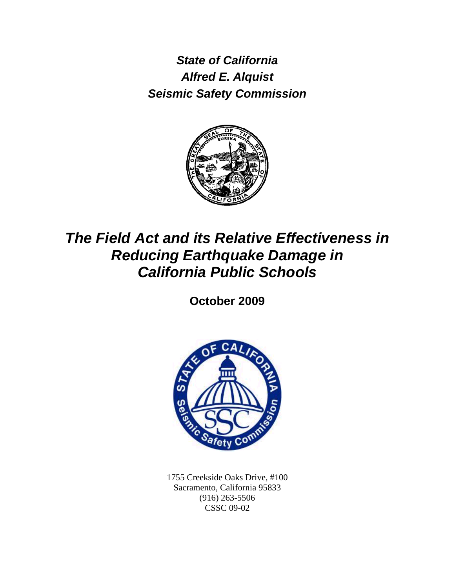*State of California Alfred E. Alquist Seismic Safety Commission*



# *The Field Act and its Relative Effectiveness in Reducing Earthquake Damage in California Public Schools*

**October 2009**



1755 Creekside Oaks Drive, #100 Sacramento, California 95833 (916) 263-5506 CSSC 09-02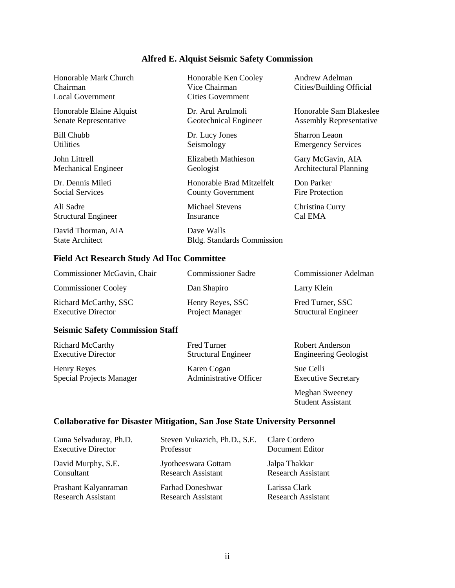# **Alfred E. Alquist Seismic Safety Commission**

| Honorable Mark Church<br>Chairman<br><b>Local Government</b> | Honorable Ken Cooley<br>Vice Chairman<br><b>Cities Government</b> | Andrew Adelman<br>Cities/Building Official |
|--------------------------------------------------------------|-------------------------------------------------------------------|--------------------------------------------|
| Honorable Elaine Alquist                                     | Dr. Arul Arulmoli                                                 | Honorable Sam Blakeslee                    |
| Senate Representative                                        | Geotechnical Engineer                                             | <b>Assembly Representative</b>             |
| Bill Chubb                                                   | Dr. Lucy Jones                                                    | Sharron Leaon                              |
| <b>Utilities</b>                                             | Seismology                                                        | <b>Emergency Services</b>                  |
| John Littrell                                                | Elizabeth Mathieson                                               | Gary McGavin, AIA                          |
| <b>Mechanical Engineer</b>                                   | Geologist                                                         | <b>Architectural Planning</b>              |
| Dr. Dennis Mileti                                            | Honorable Brad Mitzelfelt                                         | Don Parker                                 |
| <b>Social Services</b>                                       | <b>County Government</b>                                          | Fire Protection                            |
| Ali Sadre                                                    | Michael Stevens                                                   | Christina Curry                            |
| <b>Structural Engineer</b>                                   | Insurance                                                         | Cal EMA                                    |
| David Thorman, AIA<br><b>State Architect</b>                 | Dave Walls<br><b>Bldg.</b> Standards Commission                   |                                            |

# **Field Act Research Study Ad Hoc Committee**

| Commissioner McGavin, Chair                               | <b>Commissioner Sadre</b>           | <b>Commissioner Adelman</b>                    |  |  |
|-----------------------------------------------------------|-------------------------------------|------------------------------------------------|--|--|
| <b>Commissioner Cooley</b>                                | Dan Shapiro                         | Larry Klein                                    |  |  |
| <b>Richard McCarthy, SSC</b><br><b>Executive Director</b> | Henry Reyes, SSC<br>Project Manager | Fred Turner, SSC<br><b>Structural Engineer</b> |  |  |

#### **Seismic Safety Commission Staff**

| <b>Richard McCarthy</b> | Fred |
|-------------------------|------|
| Executive Director      | Stru |
|                         |      |

Henry Reyes Karen Cogan<br>
Sue Celli<br>
Special Projects Manager<br>
Administrative Officer Executive Secretary Special Projects Manager

Richard McCarthy Fred Turner Robert Anderson Engineering Geologist

Meghan Sweeney Student Assistant

# **Collaborative for Disaster Mitigation, San Jose State University Personnel**

| Guna Selvaduray, Ph.D.    | Steven Vukazich, Ph.D., S.E. | Clare Cordero             |
|---------------------------|------------------------------|---------------------------|
| <b>Executive Director</b> | Professor                    | Document Editor           |
| David Murphy, S.E.        | Jyotheeswara Gottam          | Jalpa Thakkar             |
| Consultant                | <b>Research Assistant</b>    | <b>Research Assistant</b> |
| Prashant Kalyanraman      | <b>Farhad Doneshwar</b>      | Larissa Clark             |
| <b>Research Assistant</b> | <b>Research Assistant</b>    | <b>Research Assistant</b> |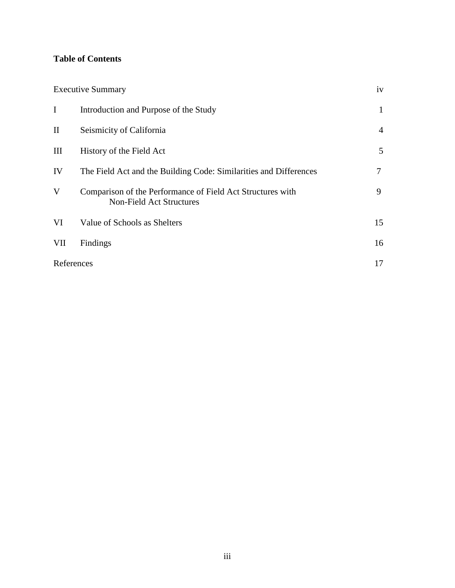# **Table of Contents**

|              | <b>Executive Summary</b>                                                                      | iv             |
|--------------|-----------------------------------------------------------------------------------------------|----------------|
| I            | Introduction and Purpose of the Study                                                         | 1              |
| $\mathbf{I}$ | Seismicity of California                                                                      | $\overline{4}$ |
| III          | History of the Field Act                                                                      | 5              |
| IV           | The Field Act and the Building Code: Similarities and Differences                             | 7              |
| V            | Comparison of the Performance of Field Act Structures with<br><b>Non-Field Act Structures</b> | 9              |
| VI           | Value of Schools as Shelters                                                                  | 15             |
| VII          | Findings                                                                                      | 16             |
| References   |                                                                                               | 17             |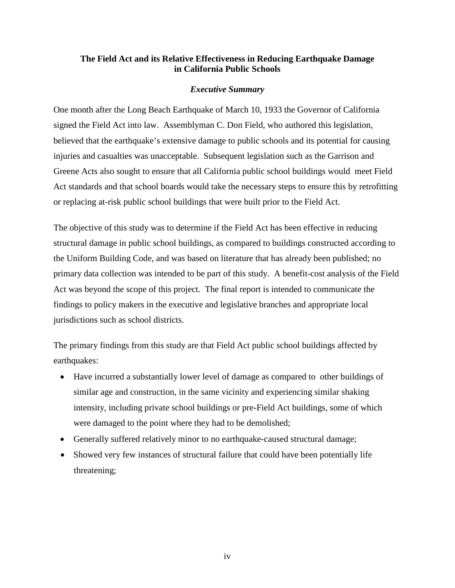#### **The Field Act and its Relative Effectiveness in Reducing Earthquake Damage in California Public Schools**

#### *Executive Summary*

One month after the Long Beach Earthquake of March 10, 1933 the Governor of California signed the Field Act into law. Assemblyman C. Don Field, who authored this legislation, believed that the earthquake's extensive damage to public schools and its potential for causing injuries and casualties was unacceptable. Subsequent legislation such as the Garrison and Greene Acts also sought to ensure that all California public school buildings would meet Field Act standards and that school boards would take the necessary steps to ensure this by retrofitting or replacing at-risk public school buildings that were built prior to the Field Act.

The objective of this study was to determine if the Field Act has been effective in reducing structural damage in public school buildings, as compared to buildings constructed according to the Uniform Building Code, and was based on literature that has already been published; no primary data collection was intended to be part of this study. A benefit-cost analysis of the Field Act was beyond the scope of this project. The final report is intended to communicate the findings to policy makers in the executive and legislative branches and appropriate local jurisdictions such as school districts.

The primary findings from this study are that Field Act public school buildings affected by earthquakes:

- Have incurred a substantially lower level of damage as compared to other buildings of similar age and construction, in the same vicinity and experiencing similar shaking intensity, including private school buildings or pre-Field Act buildings, some of which were damaged to the point where they had to be demolished;
- Generally suffered relatively minor to no earthquake-caused structural damage;
- Showed very few instances of structural failure that could have been potentially life threatening;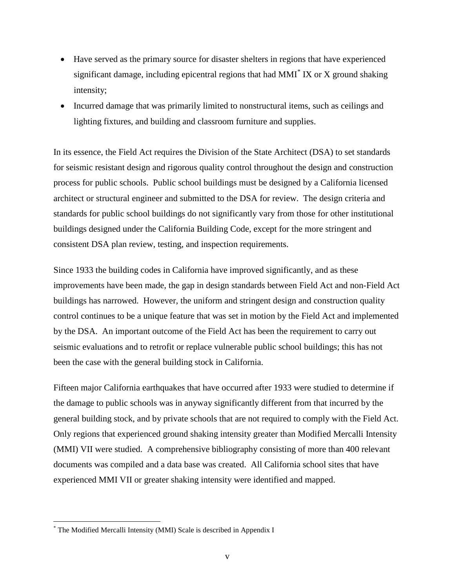- Have served as the primary source for disaster shelters in regions that have experienced significant damage, including epicentral regions that had MMI $^*$  $^*$  IX or X ground shaking intensity;
- Incurred damage that was primarily limited to nonstructural items, such as ceilings and lighting fixtures, and building and classroom furniture and supplies.

In its essence, the Field Act requires the Division of the State Architect (DSA) to set standards for seismic resistant design and rigorous quality control throughout the design and construction process for public schools. Public school buildings must be designed by a California licensed architect or structural engineer and submitted to the DSA for review. The design criteria and standards for public school buildings do not significantly vary from those for other institutional buildings designed under the California Building Code, except for the more stringent and consistent DSA plan review, testing, and inspection requirements.

Since 1933 the building codes in California have improved significantly, and as these improvements have been made, the gap in design standards between Field Act and non-Field Act buildings has narrowed. However, the uniform and stringent design and construction quality control continues to be a unique feature that was set in motion by the Field Act and implemented by the DSA. An important outcome of the Field Act has been the requirement to carry out seismic evaluations and to retrofit or replace vulnerable public school buildings; this has not been the case with the general building stock in California.

Fifteen major California earthquakes that have occurred after 1933 were studied to determine if the damage to public schools was in anyway significantly different from that incurred by the general building stock, and by private schools that are not required to comply with the Field Act. Only regions that experienced ground shaking intensity greater than Modified Mercalli Intensity (MMI) VII were studied. A comprehensive bibliography consisting of more than 400 relevant documents was compiled and a data base was created. All California school sites that have experienced MMI VII or greater shaking intensity were identified and mapped.

<span id="page-4-0"></span> <sup>\*</sup> The Modified Mercalli Intensity (MMI) Scale is described in Appendix I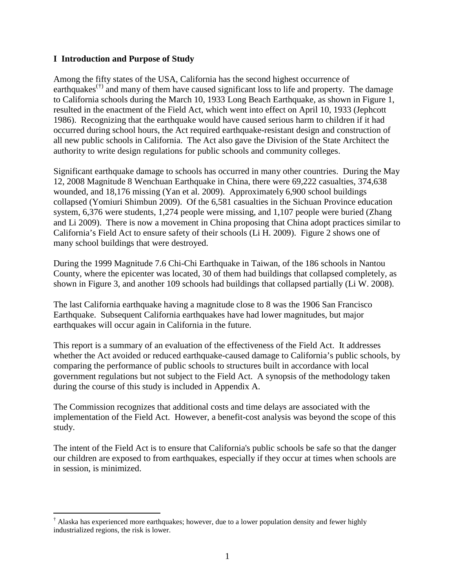#### **I Introduction and Purpose of Study**

Among the fifty states of the USA, California has the second highest occurrence of earthquakes<sup> $(†)$  $(†)$  $(†)$ </sup> and many of them have caused significant loss to life and property. The damage to California schools during the March 10, 1933 Long Beach Earthquake, as shown in Figure 1, resulted in the enactment of the Field Act, which went into effect on April 10, 1933 (Jephcott 1986). Recognizing that the earthquake would have caused serious harm to children if it had occurred during school hours, the Act required earthquake-resistant design and construction of all new public schools in California. The Act also gave the Division of the State Architect the authority to write design regulations for public schools and community colleges.

Significant earthquake damage to schools has occurred in many other countries. During the May 12, 2008 Magnitude 8 Wenchuan Earthquake in China, there were 69,222 casualties, 374,638 wounded, and 18,176 missing (Yan et al. 2009). Approximately 6,900 school buildings collapsed (Yomiuri Shimbun 2009). Of the 6,581 casualties in the Sichuan Province education system, 6,376 were students, 1,274 people were missing, and 1,107 people were buried (Zhang and Li 2009). There is now a movement in China proposing that China adopt practices similar to California's Field Act to ensure safety of their schools (Li H. 2009). Figure 2 shows one of many school buildings that were destroyed.

During the 1999 Magnitude 7.6 Chi-Chi Earthquake in Taiwan, of the 186 schools in Nantou County, where the epicenter was located, 30 of them had buildings that collapsed completely, as shown in Figure 3, and another 109 schools had buildings that collapsed partially (Li W. 2008).

The last California earthquake having a magnitude close to 8 was the 1906 San Francisco Earthquake. Subsequent California earthquakes have had lower magnitudes, but major earthquakes will occur again in California in the future.

This report is a summary of an evaluation of the effectiveness of the Field Act. It addresses whether the Act avoided or reduced earthquake-caused damage to California's public schools, by comparing the performance of public schools to structures built in accordance with local government regulations but not subject to the Field Act. A synopsis of the methodology taken during the course of this study is included in Appendix A.

The Commission recognizes that additional costs and time delays are associated with the implementation of the Field Act. However, a benefit-cost analysis was beyond the scope of this study.

The intent of the Field Act is to ensure that California's public schools be safe so that the danger our children are exposed to from earthquakes, especially if they occur at times when schools are in session, is minimized.

<span id="page-5-0"></span><sup>&</sup>lt;sup>†</sup> Alaska has experienced more earthquakes; however, due to a lower population density and fewer highly industrialized regions, the risk is lower.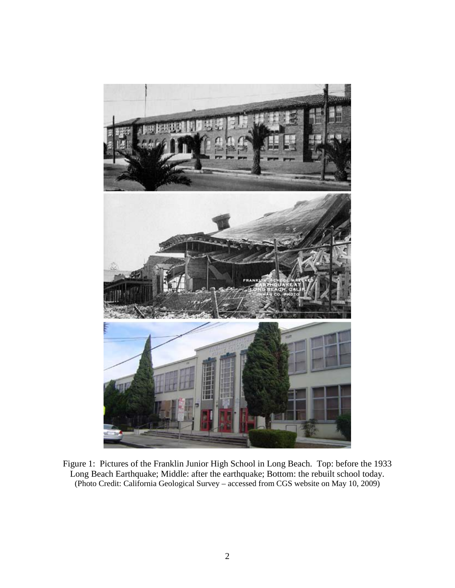

Figure 1: Pictures of the Franklin Junior High School in Long Beach. Top: before the 1933 Long Beach Earthquake; Middle: after the earthquake; Bottom: the rebuilt school today. (Photo Credit: California Geological Survey – accessed from CGS website on May 10, 2009)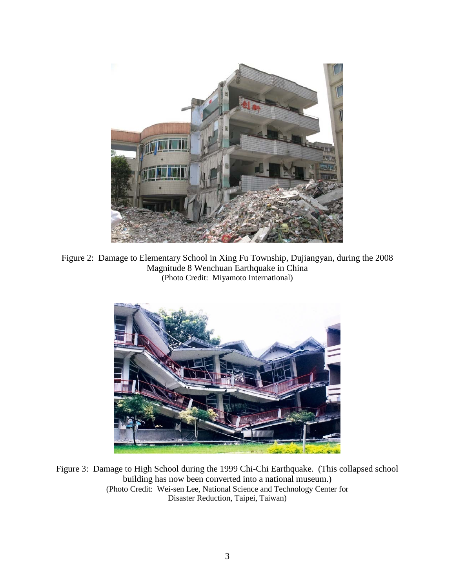

Figure 2: Damage to Elementary School in Xing Fu Township, Dujiangyan, during the 2008 Magnitude 8 Wenchuan Earthquake in China (Photo Credit: Miyamoto International)



Figure 3: Damage to High School during the 1999 Chi-Chi Earthquake. (This collapsed school building has now been converted into a national museum.) (Photo Credit: Wei-sen Lee, National Science and Technology Center for Disaster Reduction, Taipei, Taiwan)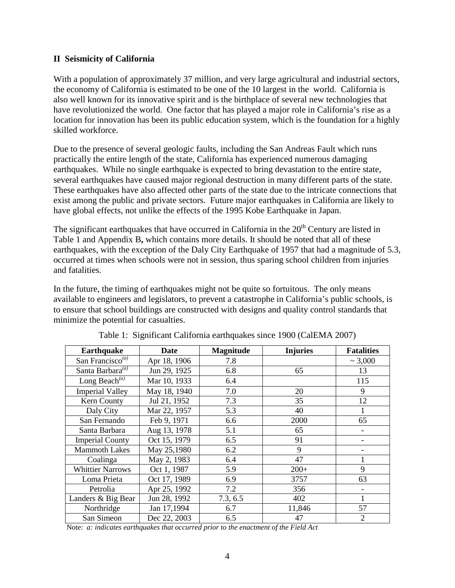#### **II Seismicity of California**

With a population of approximately 37 million, and very large agricultural and industrial sectors, the economy of California is estimated to be one of the 10 largest in the world. California is also well known for its innovative spirit and is the birthplace of several new technologies that have revolutionized the world. One factor that has played a major role in California's rise as a location for innovation has been its public education system, which is the foundation for a highly skilled workforce.

Due to the presence of several geologic faults, including the San Andreas Fault which runs practically the entire length of the state, California has experienced numerous damaging earthquakes. While no single earthquake is expected to bring devastation to the entire state, several earthquakes have caused major regional destruction in many different parts of the state. These earthquakes have also affected other parts of the state due to the intricate connections that exist among the public and private sectors. Future major earthquakes in California are likely to have global effects, not unlike the effects of the 1995 Kobe Earthquake in Japan.

The significant earthquakes that have occurred in California in the  $20<sup>th</sup>$  Century are listed in Table 1 and Appendix B**,** which contains more details. It should be noted that all of these earthquakes, with the exception of the Daly City Earthquake of 1957 that had a magnitude of 5.3, occurred at times when schools were not in session, thus sparing school children from injuries and fatalities.

In the future, the timing of earthquakes might not be quite so fortuitous. The only means available to engineers and legislators, to prevent a catastrophe in California's public schools, is to ensure that school buildings are constructed with designs and quality control standards that minimize the potential for casualties.

| <b>Earthquake</b>            | Date         | <b>Magnitude</b> | <b>Injuries</b> | <b>Fatalities</b>        |
|------------------------------|--------------|------------------|-----------------|--------------------------|
| San Francisco <sup>(a)</sup> | Apr 18, 1906 | 7.8              |                 | $\sim 3,000$             |
| Santa Barbara <sup>(a)</sup> | Jun 29, 1925 | 6.8              | 65              | 13                       |
| Long Beach <sup>(a)</sup>    | Mar 10, 1933 | 6.4              |                 | 115                      |
| <b>Imperial Valley</b>       | May 18, 1940 | 7.0              | 20              | 9                        |
| Kern County                  | Jul 21, 1952 | 7.3              | 35              | 12                       |
| Daly City                    | Mar 22, 1957 | 5.3              | 40              |                          |
| San Fernando                 | Feb 9, 1971  | 6.6              | 2000            | 65                       |
| Santa Barbara                | Aug 13, 1978 | 5.1              | 65              | $\overline{\phantom{a}}$ |
| <b>Imperial County</b>       | Oct 15, 1979 | 6.5              | 91              | $\overline{\phantom{a}}$ |
| <b>Mammoth Lakes</b>         | May 25,1980  | 6.2              | 9               |                          |
| Coalinga                     | May 2, 1983  | 6.4              | 47              |                          |
| <b>Whittier Narrows</b>      | Oct 1, 1987  | 5.9              | $200+$          | 9                        |
| Loma Prieta                  | Oct 17, 1989 | 6.9              | 3757            | 63                       |
| Petrolia                     | Apr 25, 1992 | 7.2              | 356             |                          |
| Landers & Big Bear           | Jun 28, 1992 | 7.3, 6.5         | 402             |                          |
| Northridge                   | Jan 17,1994  | 6.7              | 11,846          | 57                       |
| San Simeon                   | Dec 22, 2003 | 6.5              | 47              | $\overline{2}$           |

Table 1: Significant California earthquakes since 1900 (CalEMA 2007)

Note: *a: indicates earthquakes that occurred prior to the enactment of the Field Act*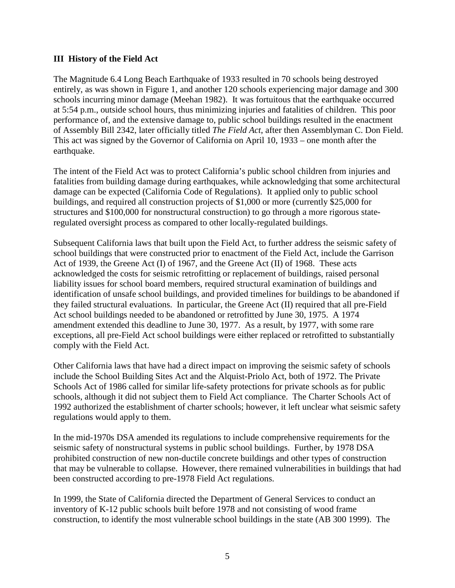#### **III History of the Field Act**

The Magnitude 6.4 Long Beach Earthquake of 1933 resulted in 70 schools being destroyed entirely, as was shown in Figure 1, and another 120 schools experiencing major damage and 300 schools incurring minor damage (Meehan 1982). It was fortuitous that the earthquake occurred at 5:54 p.m., outside school hours, thus minimizing injuries and fatalities of children. This poor performance of, and the extensive damage to, public school buildings resulted in the enactment of Assembly Bill 2342, later officially titled *The Field Act*, after then Assemblyman C. Don Field. This act was signed by the Governor of California on April 10, 1933 – one month after the earthquake.

The intent of the Field Act was to protect California's public school children from injuries and fatalities from building damage during earthquakes, while acknowledging that some architectural damage can be expected (California Code of Regulations). It applied only to public school buildings, and required all construction projects of \$1,000 or more (currently \$25,000 for structures and \$100,000 for nonstructural construction) to go through a more rigorous stateregulated oversight process as compared to other locally-regulated buildings.

Subsequent California laws that built upon the Field Act, to further address the seismic safety of school buildings that were constructed prior to enactment of the Field Act, include the Garrison Act of 1939, the Greene Act (I) of 1967, and the Greene Act (II) of 1968. These acts acknowledged the costs for seismic retrofitting or replacement of buildings, raised personal liability issues for school board members, required structural examination of buildings and identification of unsafe school buildings, and provided timelines for buildings to be abandoned if they failed structural evaluations. In particular, the Greene Act (II) required that all pre-Field Act school buildings needed to be abandoned or retrofitted by June 30, 1975. A 1974 amendment extended this deadline to June 30, 1977. As a result, by 1977, with some rare exceptions, all pre-Field Act school buildings were either replaced or retrofitted to substantially comply with the Field Act.

Other California laws that have had a direct impact on improving the seismic safety of schools include the School Building Sites Act and the Alquist-Priolo Act, both of 1972. The Private Schools Act of 1986 called for similar life-safety protections for private schools as for public schools, although it did not subject them to Field Act compliance. The Charter Schools Act of 1992 authorized the establishment of charter schools; however, it left unclear what seismic safety regulations would apply to them.

In the mid-1970s DSA amended its regulations to include comprehensive requirements for the seismic safety of nonstructural systems in public school buildings. Further, by 1978 DSA prohibited construction of new non-ductile concrete buildings and other types of construction that may be vulnerable to collapse. However, there remained vulnerabilities in buildings that had been constructed according to pre-1978 Field Act regulations.

In 1999, the State of California directed the Department of General Services to conduct an inventory of K-12 public schools built before 1978 and not consisting of wood frame construction, to identify the most vulnerable school buildings in the state (AB 300 1999). The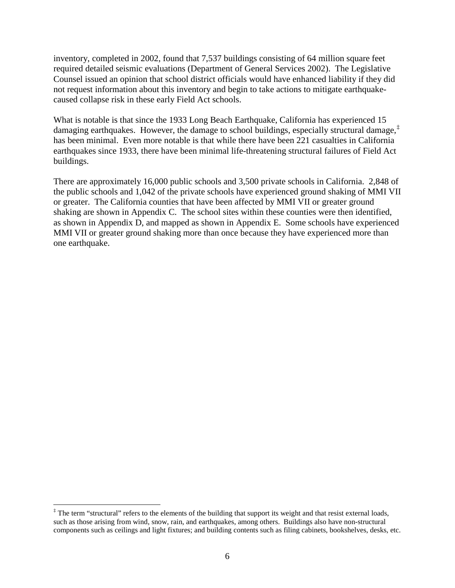inventory, completed in 2002, found that 7,537 buildings consisting of 64 million square feet required detailed seismic evaluations (Department of General Services 2002). The Legislative Counsel issued an opinion that school district officials would have enhanced liability if they did not request information about this inventory and begin to take actions to mitigate earthquakecaused collapse risk in these early Field Act schools.

What is notable is that since the 1933 Long Beach Earthquake, California has experienced 15 damaging earthquakes. However, the damage to school buildings, especially structural damage,[‡](#page-10-0) has been minimal. Even more notable is that while there have been 221 casualties in California earthquakes since 1933, there have been minimal life-threatening structural failures of Field Act buildings.

There are approximately 16,000 public schools and 3,500 private schools in California. 2,848 of the public schools and 1,042 of the private schools have experienced ground shaking of MMI VII or greater. The California counties that have been affected by MMI VII or greater ground shaking are shown in Appendix C. The school sites within these counties were then identified, as shown in Appendix D, and mapped as shown in Appendix E. Some schools have experienced MMI VII or greater ground shaking more than once because they have experienced more than one earthquake.

<span id="page-10-0"></span><sup>&</sup>lt;sup>‡</sup> The term "structural" refers to the elements of the building that support its weight and that resist external loads, such as those arising from wind, snow, rain, and earthquakes, among others. Buildings also have non-structural components such as ceilings and light fixtures; and building contents such as filing cabinets, bookshelves, desks, etc.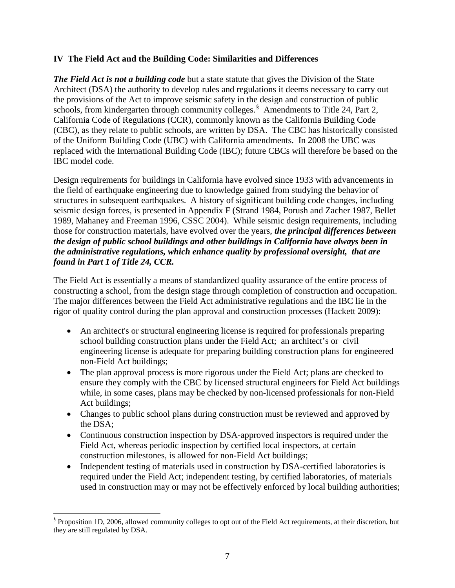### **IV The Field Act and the Building Code: Similarities and Differences**

*The Field Act is not a building code* but a state statute that gives the Division of the State Architect (DSA) the authority to develop rules and regulations it deems necessary to carry out the provisions of the Act to improve seismic safety in the design and construction of public schools, from kindergarten through community colleges.<sup>[§](#page-11-0)</sup> Amendments to Title 24, Part 2, California Code of Regulations (CCR), commonly known as the California Building Code (CBC), as they relate to public schools, are written by DSA. The CBC has historically consisted of the Uniform Building Code (UBC) with California amendments. In 2008 the UBC was replaced with the International Building Code (IBC); future CBCs will therefore be based on the IBC model code.

Design requirements for buildings in California have evolved since 1933 with advancements in the field of earthquake engineering due to knowledge gained from studying the behavior of structures in subsequent earthquakes. A history of significant building code changes, including seismic design forces, is presented in Appendix F (Strand 1984, Porush and Zacher 1987, Bellet 1989, Mahaney and Freeman 1996, CSSC 2004). While seismic design requirements, including those for construction materials, have evolved over the years, *the principal differences between the design of public school buildings and other buildings in California have always been in the administrative regulations, which enhance quality by professional oversight, that are found in Part 1 of Title 24, CCR.*

The Field Act is essentially a means of standardized quality assurance of the entire process of constructing a school, from the design stage through completion of construction and occupation. The major differences between the Field Act administrative regulations and the IBC lie in the rigor of quality control during the plan approval and construction processes (Hackett 2009):

- An architect's or structural engineering license is required for professionals preparing school building construction plans under the Field Act; an architect's or civil engineering license is adequate for preparing building construction plans for engineered non-Field Act buildings;
- The plan approval process is more rigorous under the Field Act; plans are checked to ensure they comply with the CBC by licensed structural engineers for Field Act buildings while, in some cases, plans may be checked by non-licensed professionals for non-Field Act buildings;
- Changes to public school plans during construction must be reviewed and approved by the DSA;
- Continuous construction inspection by DSA-approved inspectors is required under the Field Act, whereas periodic inspection by certified local inspectors, at certain construction milestones, is allowed for non-Field Act buildings;
- Independent testing of materials used in construction by DSA-certified laboratories is required under the Field Act; independent testing, by certified laboratories, of materials used in construction may or may not be effectively enforced by local building authorities;

<span id="page-11-0"></span> <sup>§</sup> Proposition 1D, 2006, allowed community colleges to opt out of the Field Act requirements, at their discretion, but they are still regulated by DSA.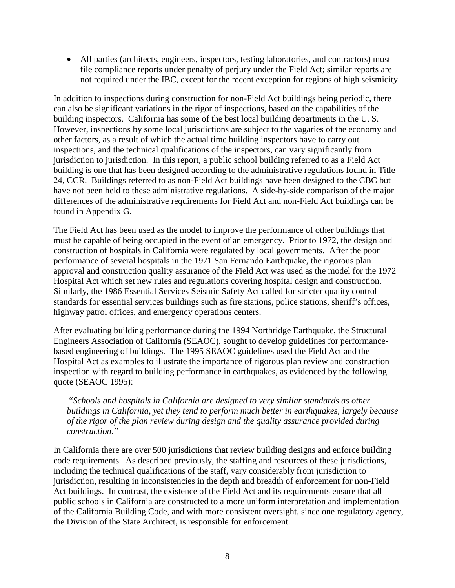• All parties (architects, engineers, inspectors, testing laboratories, and contractors) must file compliance reports under penalty of perjury under the Field Act; similar reports are not required under the IBC, except for the recent exception for regions of high seismicity.

In addition to inspections during construction for non-Field Act buildings being periodic, there can also be significant variations in the rigor of inspections, based on the capabilities of the building inspectors. California has some of the best local building departments in the U. S. However, inspections by some local jurisdictions are subject to the vagaries of the economy and other factors, as a result of which the actual time building inspectors have to carry out inspections, and the technical qualifications of the inspectors, can vary significantly from jurisdiction to jurisdiction. In this report, a public school building referred to as a Field Act building is one that has been designed according to the administrative regulations found in Title 24, CCR. Buildings referred to as non-Field Act buildings have been designed to the CBC but have not been held to these administrative regulations. A side-by-side comparison of the major differences of the administrative requirements for Field Act and non-Field Act buildings can be found in Appendix G.

The Field Act has been used as the model to improve the performance of other buildings that must be capable of being occupied in the event of an emergency. Prior to 1972, the design and construction of hospitals in California were regulated by local governments. After the poor performance of several hospitals in the 1971 San Fernando Earthquake, the rigorous plan approval and construction quality assurance of the Field Act was used as the model for the 1972 Hospital Act which set new rules and regulations covering hospital design and construction. Similarly, the 1986 Essential Services Seismic Safety Act called for stricter quality control standards for essential services buildings such as fire stations, police stations, sheriff's offices, highway patrol offices, and emergency operations centers.

After evaluating building performance during the 1994 Northridge Earthquake, the Structural Engineers Association of California (SEAOC), sought to develop guidelines for performancebased engineering of buildings. The 1995 SEAOC guidelines used the Field Act and the Hospital Act as examples to illustrate the importance of rigorous plan review and construction inspection with regard to building performance in earthquakes, as evidenced by the following quote (SEAOC 1995):

"*Schools and hospitals in California are designed to very similar standards as other buildings in California, yet they tend to perform much better in earthquakes, largely because of the rigor of the plan review during design and the quality assurance provided during construction."*

In California there are over 500 jurisdictions that review building designs and enforce building code requirements. As described previously, the staffing and resources of these jurisdictions, including the technical qualifications of the staff, vary considerably from jurisdiction to jurisdiction, resulting in inconsistencies in the depth and breadth of enforcement for non-Field Act buildings. In contrast, the existence of the Field Act and its requirements ensure that all public schools in California are constructed to a more uniform interpretation and implementation of the California Building Code, and with more consistent oversight, since one regulatory agency, the Division of the State Architect, is responsible for enforcement.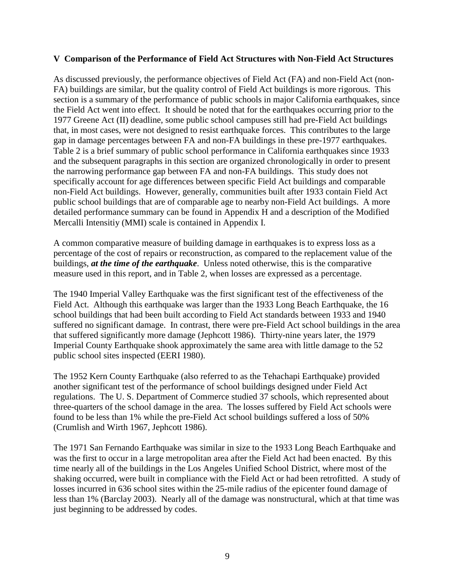#### **V Comparison of the Performance of Field Act Structures with Non-Field Act Structures**

As discussed previously, the performance objectives of Field Act (FA) and non-Field Act (non-FA) buildings are similar, but the quality control of Field Act buildings is more rigorous. This section is a summary of the performance of public schools in major California earthquakes, since the Field Act went into effect. It should be noted that for the earthquakes occurring prior to the 1977 Greene Act (II) deadline, some public school campuses still had pre-Field Act buildings that, in most cases, were not designed to resist earthquake forces. This contributes to the large gap in damage percentages between FA and non-FA buildings in these pre-1977 earthquakes. Table 2 is a brief summary of public school performance in California earthquakes since 1933 and the subsequent paragraphs in this section are organized chronologically in order to present the narrowing performance gap between FA and non-FA buildings. This study does not specifically account for age differences between specific Field Act buildings and comparable non-Field Act buildings. However, generally, communities built after 1933 contain Field Act public school buildings that are of comparable age to nearby non-Field Act buildings. A more detailed performance summary can be found in Appendix H and a description of the Modified Mercalli Intensitiy (MMI) scale is contained in Appendix I.

A common comparative measure of building damage in earthquakes is to express loss as a percentage of the cost of repairs or reconstruction, as compared to the replacement value of the buildings, *at the time of the earthquake*. Unless noted otherwise, this is the comparative measure used in this report, and in Table 2, when losses are expressed as a percentage.

The 1940 Imperial Valley Earthquake was the first significant test of the effectiveness of the Field Act. Although this earthquake was larger than the 1933 Long Beach Earthquake, the 16 school buildings that had been built according to Field Act standards between 1933 and 1940 suffered no significant damage. In contrast, there were pre-Field Act school buildings in the area that suffered significantly more damage (Jephcott 1986). Thirty-nine years later, the 1979 Imperial County Earthquake shook approximately the same area with little damage to the 52 public school sites inspected (EERI 1980).

The 1952 Kern County Earthquake (also referred to as the Tehachapi Earthquake) provided another significant test of the performance of school buildings designed under Field Act regulations. The U. S. Department of Commerce studied 37 schools, which represented about three-quarters of the school damage in the area. The losses suffered by Field Act schools were found to be less than 1% while the pre-Field Act school buildings suffered a loss of 50% (Crumlish and Wirth 1967, Jephcott 1986).

The 1971 San Fernando Earthquake was similar in size to the 1933 Long Beach Earthquake and was the first to occur in a large metropolitan area after the Field Act had been enacted. By this time nearly all of the buildings in the Los Angeles Unified School District, where most of the shaking occurred, were built in compliance with the Field Act or had been retrofitted. A study of losses incurred in 636 school sites within the 25-mile radius of the epicenter found damage of less than 1% (Barclay 2003). Nearly all of the damage was nonstructural, which at that time was just beginning to be addressed by codes.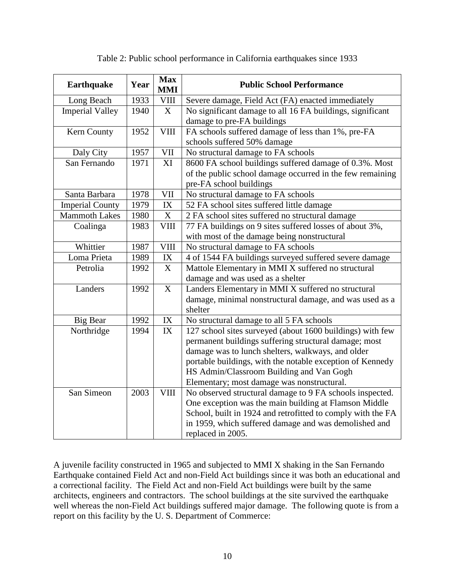| <b>Earthquake</b>      | Year | <b>Max</b><br><b>MMI</b>        | <b>Public School Performance</b>                            |  |  |
|------------------------|------|---------------------------------|-------------------------------------------------------------|--|--|
| Long Beach             | 1933 | $V\amalg \amalg$                | Severe damage, Field Act (FA) enacted immediately           |  |  |
| <b>Imperial Valley</b> | 1940 | X                               | No significant damage to all 16 FA buildings, significant   |  |  |
|                        |      |                                 | damage to pre-FA buildings                                  |  |  |
| Kern County            | 1952 | <b>VIII</b>                     | FA schools suffered damage of less than 1%, pre-FA          |  |  |
|                        |      |                                 | schools suffered 50% damage                                 |  |  |
| Daly City              | 1957 | <b>VII</b>                      | No structural damage to FA schools                          |  |  |
| San Fernando           | 1971 | XI                              | 8600 FA school buildings suffered damage of 0.3%. Most      |  |  |
|                        |      |                                 | of the public school damage occurred in the few remaining   |  |  |
|                        |      |                                 | pre-FA school buildings                                     |  |  |
| Santa Barbara          | 1978 | VII                             | No structural damage to FA schools                          |  |  |
| <b>Imperial County</b> | 1979 | IX                              | 52 FA school sites suffered little damage                   |  |  |
| <b>Mammoth Lakes</b>   | 1980 | $\mathbf X$                     | 2 FA school sites suffered no structural damage             |  |  |
| Coalinga               | 1983 | <b>VIII</b>                     | 77 FA buildings on 9 sites suffered losses of about 3%,     |  |  |
|                        |      |                                 | with most of the damage being nonstructural                 |  |  |
| Whittier               | 1987 | <b>VIII</b>                     | No structural damage to FA schools                          |  |  |
| Loma Prieta            | 1989 | $\ensuremath{\text{IX}}\xspace$ | 4 of 1544 FA buildings surveyed suffered severe damage      |  |  |
| Petrolia               | 1992 | X                               | Mattole Elementary in MMI X suffered no structural          |  |  |
|                        |      |                                 | damage and was used as a shelter                            |  |  |
| Landers                | 1992 | X                               | Landers Elementary in MMI X suffered no structural          |  |  |
|                        |      |                                 | damage, minimal nonstructural damage, and was used as a     |  |  |
|                        |      |                                 | shelter                                                     |  |  |
| Big Bear               | 1992 | IX                              | No structural damage to all 5 FA schools                    |  |  |
| Northridge             | 1994 | IX                              | 127 school sites surveyed (about 1600 buildings) with few   |  |  |
|                        |      |                                 | permanent buildings suffering structural damage; most       |  |  |
|                        |      |                                 | damage was to lunch shelters, walkways, and older           |  |  |
|                        |      |                                 | portable buildings, with the notable exception of Kennedy   |  |  |
|                        |      |                                 | HS Admin/Classroom Building and Van Gogh                    |  |  |
|                        |      |                                 | Elementary; most damage was nonstructural.                  |  |  |
| San Simeon             | 2003 | <b>VIII</b>                     | No observed structural damage to 9 FA schools inspected.    |  |  |
|                        |      |                                 | One exception was the main building at Flamson Middle       |  |  |
|                        |      |                                 | School, built in 1924 and retrofitted to comply with the FA |  |  |
|                        |      |                                 | in 1959, which suffered damage and was demolished and       |  |  |
|                        |      |                                 | replaced in 2005.                                           |  |  |

#### Table 2: Public school performance in California earthquakes since 1933

A juvenile facility constructed in 1965 and subjected to MMI X shaking in the San Fernando Earthquake contained Field Act and non-Field Act buildings since it was both an educational and a correctional facility. The Field Act and non-Field Act buildings were built by the same architects, engineers and contractors. The school buildings at the site survived the earthquake well whereas the non-Field Act buildings suffered major damage. The following quote is from a report on this facility by the U. S. Department of Commerce: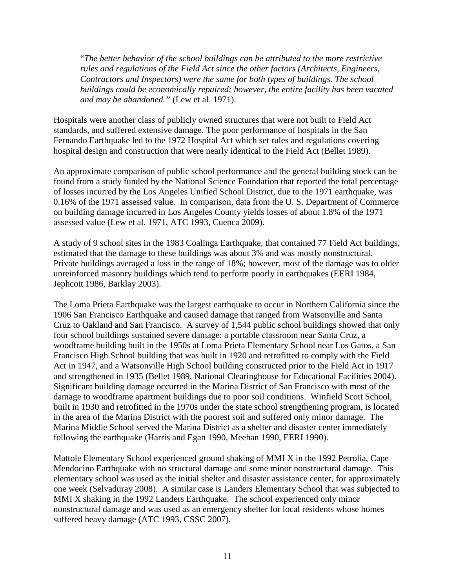"*The better behavior of the school buildings can be attributed to the more restrictive rules and regulations of the Field Act since the other factors (Architects, Engineers, Contractors and Inspectors) were the same for both types of buildings. The school buildings could be economically repaired; however, the entire facility has been vacated and may be abandoned."* (Lew et al. 1971).

Hospitals were another class of publicly owned structures that were not built to Field Act standards, and suffered extensive damage. The poor performance of hospitals in the San Fernando Earthquake led to the 1972 Hospital Act which set rules and regulations covering hospital design and construction that were nearly identical to the Field Act (Bellet 1989).

An approximate comparison of public school performance and the general building stock can be found from a study funded by the National Science Foundation that reported the total percentage of losses incurred by the Los Angeles Unified School District, due to the 1971 earthquake, was 0.16% of the 1971 assessed value. In comparison, data from the U. S. Department of Commerce on building damage incurred in Los Angeles County yields losses of about 1.8% of the 1971 assessed value (Lew et al. 1971, ATC 1993, Cuenca 2009).

A study of 9 school sites in the 1983 Coalinga Earthquake, that contained 77 Field Act buildings, estimated that the damage to these buildings was about 3% and was mostly nonstructural. Private buildings averaged a loss in the range of 18%; however, most of the damage was to older unreinforced masonry buildings which tend to perform poorly in earthquakes (EERI 1984, Jephcott 1986, Barklay 2003).

The Loma Prieta Earthquake was the largest earthquake to occur in Northern California since the 1906 San Francisco Earthquake and caused damage that ranged from Watsonville and Santa Cruz to Oakland and San Francisco. A survey of 1,544 public school buildings showed that only four school buildings sustained severe damage: a portable classroom near Santa Cruz, a woodframe building built in the 1950s at Loma Prieta Elementary School near Los Gatos, a San Francisco High School building that was built in 1920 and retrofitted to comply with the Field Act in 1947, and a Watsonville High School building constructed prior to the Field Act in 1917 and strengthened in 1935 (Bellet 1989, National Clearinghouse for Educational Facilities 2004). Significant building damage occurred in the Marina District of San Francisco with most of the damage to woodframe apartment buildings due to poor soil conditions. Winfield Scott School, built in 1930 and retrofitted in the 1970s under the state school strengthening program, is located in the area of the Marina District with the poorest soil and suffered only minor damage. The Marina Middle School served the Marina District as a shelter and disaster center immediately following the earthquake (Harris and Egan 1990, Meehan 1990, EERI 1990).

Mattole Elementary School experienced ground shaking of MMI X in the 1992 Petrolia, Cape Mendocino Earthquake with no structural damage and some minor nonstructural damage. This elementary school was used as the initial shelter and disaster assistance center, for approximately one week (Selvaduray 2008). A similar case is Landers Elementary School that was subjected to MMI X shaking in the 1992 Landers Earthquake. The school experienced only minor nonstructural damage and was used as an emergency shelter for local residents whose homes suffered heavy damage (ATC 1993, CSSC 2007).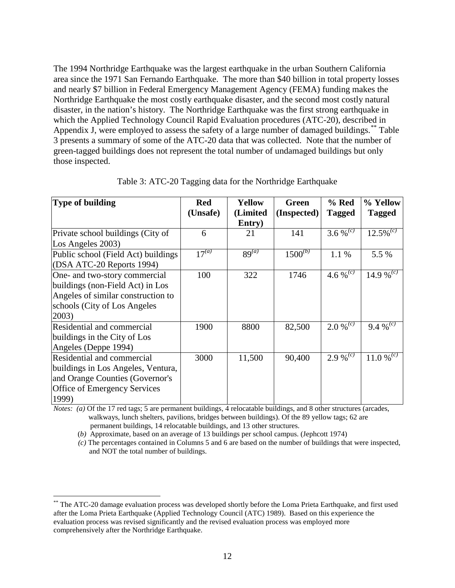The 1994 Northridge Earthquake was the largest earthquake in the urban Southern California area since the 1971 San Fernando Earthquake. The more than \$40 billion in total property losses and nearly \$7 billion in Federal Emergency Management Agency (FEMA) funding makes the Northridge Earthquake the most costly earthquake disaster, and the second most costly natural disaster, in the nation's history. The Northridge Earthquake was the first strong earthquake in which the Applied Technology Council Rapid Evaluation procedures (ATC-20), described in Appendix J, were employed to assess the safety of a large number of damaged buildings.<sup>[\\*\\*](#page-16-0)</sup> Table 3 presents a summary of some of the ATC-20 data that was collected. Note that the number of green-tagged buildings does not represent the total number of undamaged buildings but only those inspected.

| Type of building                    | <b>Red</b>            | Yellow     | Green        | % Red                  | % Yellow                |
|-------------------------------------|-----------------------|------------|--------------|------------------------|-------------------------|
|                                     | (Unsafe)              | (Limited   | (Inspected)  | <b>Tagged</b>          | <b>Tagged</b>           |
|                                     |                       | Entry)     |              |                        |                         |
| Private school buildings (City of   | 6                     | 21         | 141          | 3.6 % <sup>(c)</sup>   | $12.5\%$ <sup>(c)</sup> |
| Los Angeles 2003)                   |                       |            |              |                        |                         |
| Public school (Field Act) buildings | $\overline{17}^{(a)}$ | $89^{(a)}$ | $1500^{(b)}$ | 1.1 %                  | 5.5 %                   |
| (DSA ATC-20 Reports 1994)           |                       |            |              |                        |                         |
| One- and two-story commercial       | 100                   | 322        | 1746         | 4.6 % $\sqrt{c}$       | 14.9 % <sup>(c)</sup>   |
| buildings (non-Field Act) in Los    |                       |            |              |                        |                         |
| Angeles of similar construction to  |                       |            |              |                        |                         |
| schools (City of Los Angeles        |                       |            |              |                        |                         |
| 2003)                               |                       |            |              |                        |                         |
| Residential and commercial          | 1900                  | 8800       | 82,500       | $2.0\%$ <sup>(c)</sup> | 9.4 % <sup>(c)</sup>    |
| buildings in the City of Los        |                       |            |              |                        |                         |
| Angeles (Deppe 1994)                |                       |            |              |                        |                         |
| Residential and commercial          | 3000                  | 11,500     | 90,400       | $2.9\sqrt[6]{c}$       | 11.0 % $^{(c)}$         |
| buildings in Los Angeles, Ventura,  |                       |            |              |                        |                         |
| and Orange Counties (Governor's     |                       |            |              |                        |                         |
| Office of Emergency Services        |                       |            |              |                        |                         |
| 1999)                               |                       |            |              |                        |                         |

Table 3: ATC-20 Tagging data for the Northridge Earthquake

*Notes: (a)* Of the 17 red tags; 5 are permanent buildings, 4 relocatable buildings, and 8 other structures (arcades, walkways, lunch shelters, pavilions, bridges between buildings). Of the 89 yellow tags; 62 are permanent buildings, 14 relocatable buildings, and 13 other structures.

(*b)* Approximate, based on an average of 13 buildings per school campus. (Jephcott 1974)

 *(c)* The percentages contained in Columns 5 and 6 are based on the number of buildings that were inspected, and NOT the total number of buildings.

<span id="page-16-0"></span><sup>\*\*</sup> The ATC-20 damage evaluation process was developed shortly before the Loma Prieta Earthquake, and first used after the Loma Prieta Earthquake (Applied Technology Council (ATC) 1989). Based on this experience the evaluation process was revised significantly and the revised evaluation process was employed more comprehensively after the Northridge Earthquake.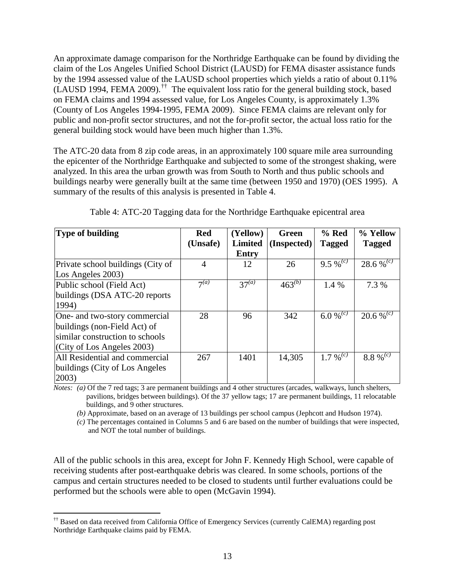An approximate damage comparison for the Northridge Earthquake can be found by dividing the claim of the Los Angeles Unified School District (LAUSD) for FEMA disaster assistance funds by the 1994 assessed value of the LAUSD school properties which yields a ratio of about 0.11%  $(LAUSD 1994, FEMA 2009).$ <sup>[††](#page-17-0)</sup> The equivalent loss ratio for the general building stock, based on FEMA claims and 1994 assessed value, for Los Angeles County, is approximately 1.3% (County of Los Angeles 1994-1995, FEMA 2009). Since FEMA claims are relevant only for public and non-profit sector structures, and not the for-profit sector, the actual loss ratio for the general building stock would have been much higher than 1.3%.

The ATC-20 data from 8 zip code areas, in an approximately 100 square mile area surrounding the epicenter of the Northridge Earthquake and subjected to some of the strongest shaking, were analyzed. In this area the urban growth was from South to North and thus public schools and buildings nearby were generally built at the same time (between 1950 and 1970) (OES 1995). A summary of the results of this analysis is presented in Table 4.

| <b>Type of building</b>           | <b>Red</b>       | (Yellow)       | Green       | $%$ Red             | % Yellow              |
|-----------------------------------|------------------|----------------|-------------|---------------------|-----------------------|
|                                   | (Unsafe)         | <b>Limited</b> | (Inspected) | <b>Tagged</b>       | <b>Tagged</b>         |
|                                   |                  | <b>Entry</b>   |             |                     |                       |
| Private school buildings (City of | $\overline{4}$   | 12             | 26          | 9.5 % $\sqrt[c]{c}$ | 28.6 % <sup>(c)</sup> |
| Los Angeles 2003)                 |                  |                |             |                     |                       |
| Public school (Field Act)         | 7 <sup>(a)</sup> | $37^{(a)}$     | $463^{(b)}$ | 1.4 %               | 7.3 %                 |
| buildings (DSA ATC-20 reports     |                  |                |             |                     |                       |
| 1994)                             |                  |                |             |                     |                       |
| One- and two-story commercial     | 28               | 96             | 342         | 6.0 % $\sqrt{c}$    | $20.6 \%^{(c)}$       |
| buildings (non-Field Act) of      |                  |                |             |                     |                       |
| similar construction to schools   |                  |                |             |                     |                       |
| (City of Los Angeles 2003)        |                  |                |             |                     |                       |
| All Residential and commercial    | 267              | 1401           | 14,305      | 1.7 % $\sqrt[c]{c}$ | 8.8 % $\sqrt[c]{c}$   |
| buildings (City of Los Angeles)   |                  |                |             |                     |                       |
| 2003)                             |                  |                |             |                     |                       |

Table 4: ATC-20 Tagging data for the Northridge Earthquake epicentral area

*Notes: (a)* Of the 7 red tags; 3 are permanent buildings and 4 other structures (arcades, walkways, lunch shelters, pavilions, bridges between buildings). Of the 37 yellow tags; 17 are permanent buildings, 11 relocatable buildings, and 9 other structures.

*(b)* Approximate, based on an average of 13 buildings per school campus (Jephcott and Hudson 1974).

*(c)* The percentages contained in Columns 5 and 6 are based on the number of buildings that were inspected, and NOT the total number of buildings.

All of the public schools in this area, except for John F. Kennedy High School, were capable of receiving students after post-earthquake debris was cleared. In some schools, portions of the campus and certain structures needed to be closed to students until further evaluations could be performed but the schools were able to open (McGavin 1994).

<span id="page-17-0"></span> <sup>††</sup> Based on data received from California Office of Emergency Services (currently CalEMA) regarding post Northridge Earthquake claims paid by FEMA.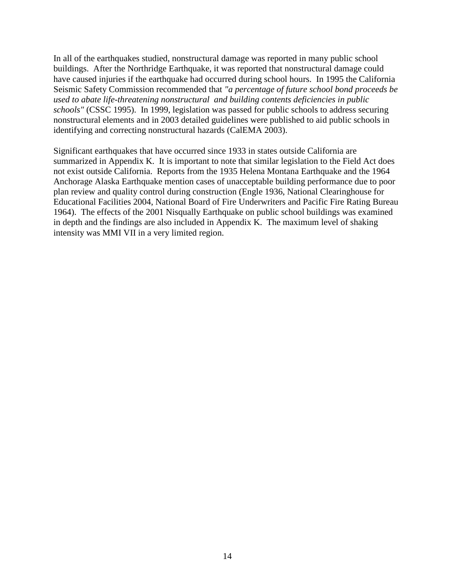In all of the earthquakes studied, nonstructural damage was reported in many public school buildings. After the Northridge Earthquake, it was reported that nonstructural damage could have caused injuries if the earthquake had occurred during school hours. In 1995 the California Seismic Safety Commission recommended that *"a percentage of future school bond proceeds be used to abate life-threatening nonstructural and building contents deficiencies in public schools"* (CSSC 1995). In 1999, legislation was passed for public schools to address securing nonstructural elements and in 2003 detailed guidelines were published to aid public schools in identifying and correcting nonstructural hazards (CalEMA 2003).

Significant earthquakes that have occurred since 1933 in states outside California are summarized in Appendix K. It is important to note that similar legislation to the Field Act does not exist outside California. Reports from the 1935 Helena Montana Earthquake and the 1964 Anchorage Alaska Earthquake mention cases of unacceptable building performance due to poor plan review and quality control during construction (Engle 1936, National Clearinghouse for Educational Facilities 2004, National Board of Fire Underwriters and Pacific Fire Rating Bureau 1964). The effects of the 2001 Nisqually Earthquake on public school buildings was examined in depth and the findings are also included in Appendix K. The maximum level of shaking intensity was MMI VII in a very limited region.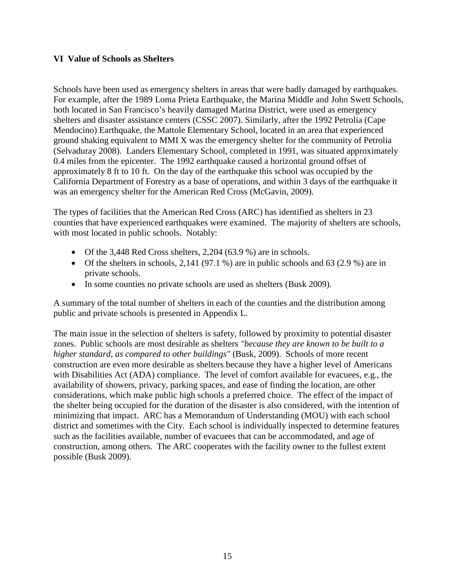#### **VI Value of Schools as Shelters**

Schools have been used as emergency shelters in areas that were badly damaged by earthquakes. For example, after the 1989 Loma Prieta Earthquake, the Marina Middle and John Swett Schools, both located in San Francisco's heavily damaged Marina District, were used as emergency shelters and disaster assistance centers (CSSC 2007). Similarly, after the 1992 Petrolia (Cape Mendocino) Earthquake, the Mattole Elementary School, located in an area that experienced ground shaking equivalent to MMI X was the emergency shelter for the community of Petrolia (Selvaduray 2008). Landers Elementary School, completed in 1991, was situated approximately 0.4 miles from the epicenter. The 1992 earthquake caused a horizontal ground offset of approximately 8 ft to 10 ft. On the day of the earthquake this school was occupied by the California Department of Forestry as a base of operations, and within 3 days of the earthquake it was an emergency shelter for the American Red Cross (McGavin, 2009).

The types of facilities that the American Red Cross (ARC) has identified as shelters in 23 counties that have experienced earthquakes were examined. The majority of shelters are schools, with most located in public schools. Notably:

- Of the 3,448 Red Cross shelters, 2,204 (63.9 %) are in schools.
- Of the shelters in schools,  $2,141$  (97.1 %) are in public schools and 63 (2.9 %) are in private schools.
- In some counties no private schools are used as shelters (Busk 2009).

A summary of the total number of shelters in each of the counties and the distribution among public and private schools is presented in Appendix L.

The main issue in the selection of shelters is safety, followed by proximity to potential disaster zones. Public schools are most desirable as shelters *"because they are known to be built to a higher standard, as compared to other buildings"* (Busk, 2009). Schools of more recent construction are even more desirable as shelters because they have a higher level of Americans with Disabilities Act (ADA) compliance. The level of comfort available for evacuees, e.g., the availability of showers, privacy, parking spaces, and ease of finding the location, are other considerations, which make public high schools a preferred choice. The effect of the impact of the shelter being occupied for the duration of the disaster is also considered, with the intention of minimizing that impact. ARC has a Memorandum of Understanding (MOU) with each school district and sometimes with the City. Each school is individually inspected to determine features such as the facilities available, number of evacuees that can be accommodated, and age of construction, among others. The ARC cooperates with the facility owner to the fullest extent possible (Busk 2009).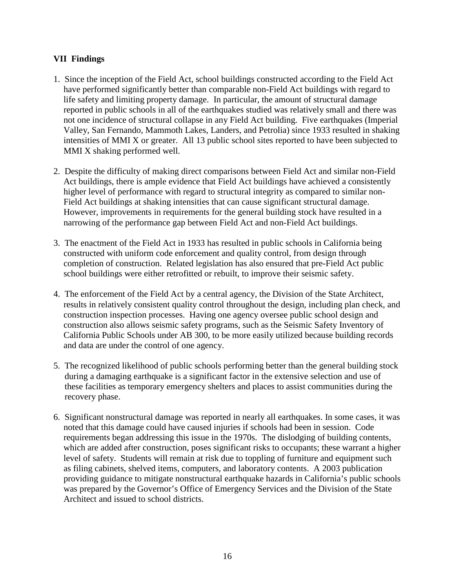# **VII Findings**

- 1. Since the inception of the Field Act, school buildings constructed according to the Field Act have performed significantly better than comparable non-Field Act buildings with regard to life safety and limiting property damage. In particular, the amount of structural damage reported in public schools in all of the earthquakes studied was relatively small and there was not one incidence of structural collapse in any Field Act building. Five earthquakes (Imperial Valley, San Fernando, Mammoth Lakes, Landers, and Petrolia) since 1933 resulted in shaking intensities of MMI X or greater. All 13 public school sites reported to have been subjected to MMI X shaking performed well.
- 2. Despite the difficulty of making direct comparisons between Field Act and similar non-Field Act buildings, there is ample evidence that Field Act buildings have achieved a consistently higher level of performance with regard to structural integrity as compared to similar non-Field Act buildings at shaking intensities that can cause significant structural damage. However, improvements in requirements for the general building stock have resulted in a narrowing of the performance gap between Field Act and non-Field Act buildings.
- 3. The enactment of the Field Act in 1933 has resulted in public schools in California being constructed with uniform code enforcement and quality control, from design through completion of construction. Related legislation has also ensured that pre-Field Act public school buildings were either retrofitted or rebuilt, to improve their seismic safety.
- 4. The enforcement of the Field Act by a central agency, the Division of the State Architect, results in relatively consistent quality control throughout the design, including plan check, and construction inspection processes. Having one agency oversee public school design and construction also allows seismic safety programs, such as the Seismic Safety Inventory of California Public Schools under AB 300, to be more easily utilized because building records and data are under the control of one agency.
- 5. The recognized likelihood of public schools performing better than the general building stock during a damaging earthquake is a significant factor in the extensive selection and use of these facilities as temporary emergency shelters and places to assist communities during the recovery phase.
- 6. Significant nonstructural damage was reported in nearly all earthquakes. In some cases, it was noted that this damage could have caused injuries if schools had been in session. Code requirements began addressing this issue in the 1970s. The dislodging of building contents, which are added after construction, poses significant risks to occupants; these warrant a higher level of safety. Students will remain at risk due to toppling of furniture and equipment such as filing cabinets, shelved items, computers, and laboratory contents. A 2003 publication providing guidance to mitigate nonstructural earthquake hazards in California's public schools was prepared by the Governor's Office of Emergency Services and the Division of the State Architect and issued to school districts.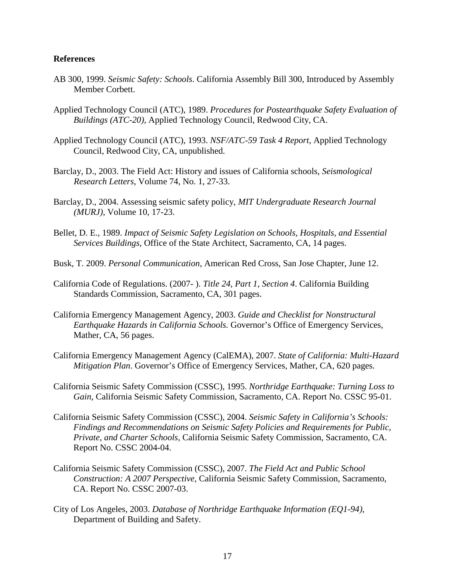#### **References**

- AB 300, 1999. *Seismic Safety: Schools*. California Assembly Bill 300, Introduced by Assembly Member Corbett.
- Applied Technology Council (ATC), 1989. *Procedures for Postearthquake Safety Evaluation of Buildings (ATC-20),* Applied Technology Council, Redwood City, CA.
- Applied Technology Council (ATC), 1993. *NSF/ATC-59 Task 4 Report*, Applied Technology Council, Redwood City, CA, unpublished.
- Barclay, D., 2003. The Field Act: History and issues of California schools, *Seismological Research Letters*, Volume 74, No. 1, 27-33.
- Barclay, D., 2004. Assessing seismic safety policy, *MIT Undergraduate Research Journal (MURJ)*, Volume 10, 17-23.
- Bellet, D. E., 1989. *Impact of Seismic Safety Legislation on Schools, Hospitals, and Essential Services Buildings,* Office of the State Architect, Sacramento, CA, 14 pages.
- Busk, T. 2009. *Personal Communication*, American Red Cross, San Jose Chapter, June 12.
- California Code of Regulations. (2007- ). *Title 24, Part 1, Section 4*. California Building Standards Commission, Sacramento, CA, 301 pages.
- California Emergency Management Agency, 2003. *Guide and Checklist for Nonstructural Earthquake Hazards in California Schools.* Governor's Office of Emergency Services, Mather, CA, 56 pages.
- California Emergency Management Agency (CalEMA), 2007. *State of California: Multi-Hazard Mitigation Plan*. Governor's Office of Emergency Services, Mather, CA, 620 pages.
- California Seismic Safety Commission (CSSC), 1995. *Northridge Earthquake: Turning Loss to Gain*, California Seismic Safety Commission, Sacramento, CA. Report No. CSSC 95-01.
- California Seismic Safety Commission (CSSC), 2004. *Seismic Safety in California's Schools: Findings and Recommendations on Seismic Safety Policies and Requirements for Public, Private, and Charter Schools,* California Seismic Safety Commission, Sacramento, CA. Report No. CSSC 2004-04.
- California Seismic Safety Commission (CSSC), 2007. *The Field Act and Public School Construction: A 2007 Perspective*, California Seismic Safety Commission, Sacramento, CA. Report No. CSSC 2007-03.
- City of Los Angeles, 2003. *Database of Northridge Earthquake Information (EQ1-94),* Department of Building and Safety.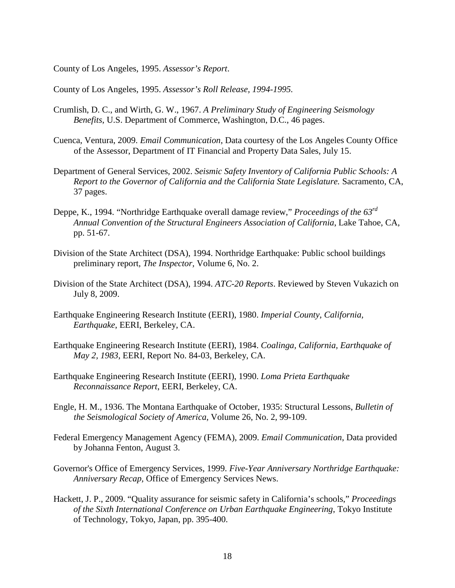County of Los Angeles, 1995. *Assessor's Report*.

County of Los Angeles, 1995. *Assessor's Roll Release, 1994-1995.*

- Crumlish, D. C., and Wirth, G. W., 1967. *A Preliminary Study of Engineering Seismology Benefits*, U.S. Department of Commerce, Washington, D.C., 46 pages.
- Cuenca, Ventura, 2009. *Email Communication*, Data courtesy of the Los Angeles County Office of the Assessor, Department of IT Financial and Property Data Sales, July 15.
- Department of General Services, 2002. *Seismic Safety Inventory of California Public Schools: A Report to the Governor of California and the California State Legislature.* Sacramento, CA, 37 pages.
- Deppe, K., 1994. "Northridge Earthquake overall damage review," *Proceedings of the 63rd Annual Convention of the Structural Engineers Association of California*, Lake Tahoe, CA, pp. 51-67.
- Division of the State Architect (DSA), 1994. Northridge Earthquake: Public school buildings preliminary report*, The Inspector,* Volume 6, No. 2.
- Division of the State Architect (DSA), 1994. *ATC-20 Reports*. Reviewed by Steven Vukazich on July 8, 2009.
- Earthquake Engineering Research Institute (EERI), 1980. *Imperial County, California, Earthquake*, EERI, Berkeley, CA.
- Earthquake Engineering Research Institute (EERI), 1984. *Coalinga, California, Earthquake of May 2, 1983*, EERI, Report No. 84-03, Berkeley, CA.
- Earthquake Engineering Research Institute (EERI), 1990. *Loma Prieta Earthquake Reconnaissance Report*, EERI, Berkeley, CA.
- Engle, H. M., 1936. The Montana Earthquake of October, 1935: Structural Lessons, *Bulletin of the Seismological Society of America*, Volume 26, No. 2, 99-109.
- Federal Emergency Management Agency (FEMA), 2009. *Email Communication*, Data provided by Johanna Fenton, August 3.
- Governor's Office of Emergency Services, 1999. *Five-Year Anniversary Northridge Earthquake: Anniversary Recap,* Office of Emergency Services News.
- Hackett, J. P., 2009. "Quality assurance for seismic safety in California's schools," *Proceedings of the Sixth International Conference on Urban Earthquake Engineering*, Tokyo Institute of Technology, Tokyo, Japan, pp. 395-400.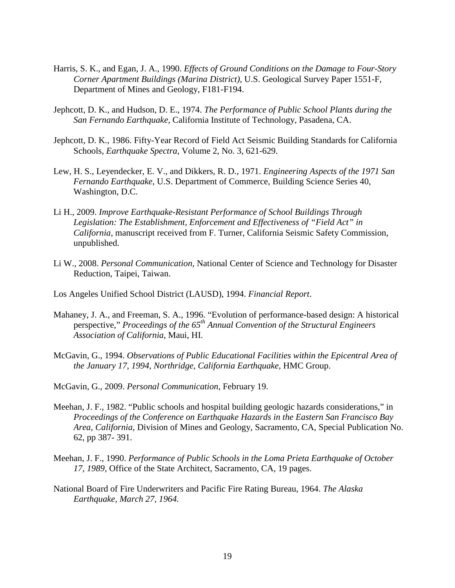- Harris, S. K., and Egan, J. A., 1990. *Effects of Ground Conditions on the Damage to Four-Story Corner Apartment Buildings (Marina District),* U.S. Geological Survey Paper 1551-F, Department of Mines and Geology, F181-F194.
- Jephcott, D. K., and Hudson, D. E., 1974. *The Performance of Public School Plants during the San Fernando Earthquake,* California Institute of Technology, Pasadena, CA.
- Jephcott, D. K., 1986. Fifty-Year Record of Field Act Seismic Building Standards for California Schools, *Earthquake Spectra*, Volume 2, No. 3, 621-629.
- Lew, H. S., Leyendecker, E. V., and Dikkers, R. D., 1971. *Engineering Aspects of the 1971 San Fernando Earthquake*, U.S. Department of Commerce, Building Science Series 40, Washington, D.C.
- Li H., 2009. *Improve Earthquake-Resistant Performance of School Buildings Through Legislation: The Establishment, Enforcement and Effectiveness of "Field Act" in California*, manuscript received from F. Turner, California Seismic Safety Commission, unpublished.
- Li W., 2008. *Personal Communication*, National Center of Science and Technology for Disaster Reduction, Taipei, Taiwan.
- Los Angeles Unified School District (LAUSD), 1994. *Financial Report*.
- Mahaney, J. A., and Freeman, S. A., 1996. "Evolution of performance-based design: A historical perspective," *Proceedings of the 65th Annual Convention of the Structural Engineers Association of California*, Maui, HI.
- McGavin, G., 1994. *Observations of Public Educational Facilities within the Epicentral Area of the January 17, 1994, Northridge, California Earthquake*, HMC Group.
- McGavin, G., 2009. *Personal Communication*, February 19.
- Meehan, J. F., 1982. "Public schools and hospital building geologic hazards considerations," in *Proceedings of the Conference on Earthquake Hazards in the Eastern San Francisco Bay Area, California*, Division of Mines and Geology, Sacramento, CA, Special Publication No. 62, pp 387- 391.
- Meehan, J. F., 1990. *Performance of Public Schools in the Loma Prieta Earthquake of October 17, 1989,* Office of the State Architect, Sacramento, CA, 19 pages.
- National Board of Fire Underwriters and Pacific Fire Rating Bureau, 1964. *The Alaska Earthquake, March 27, 1964.*